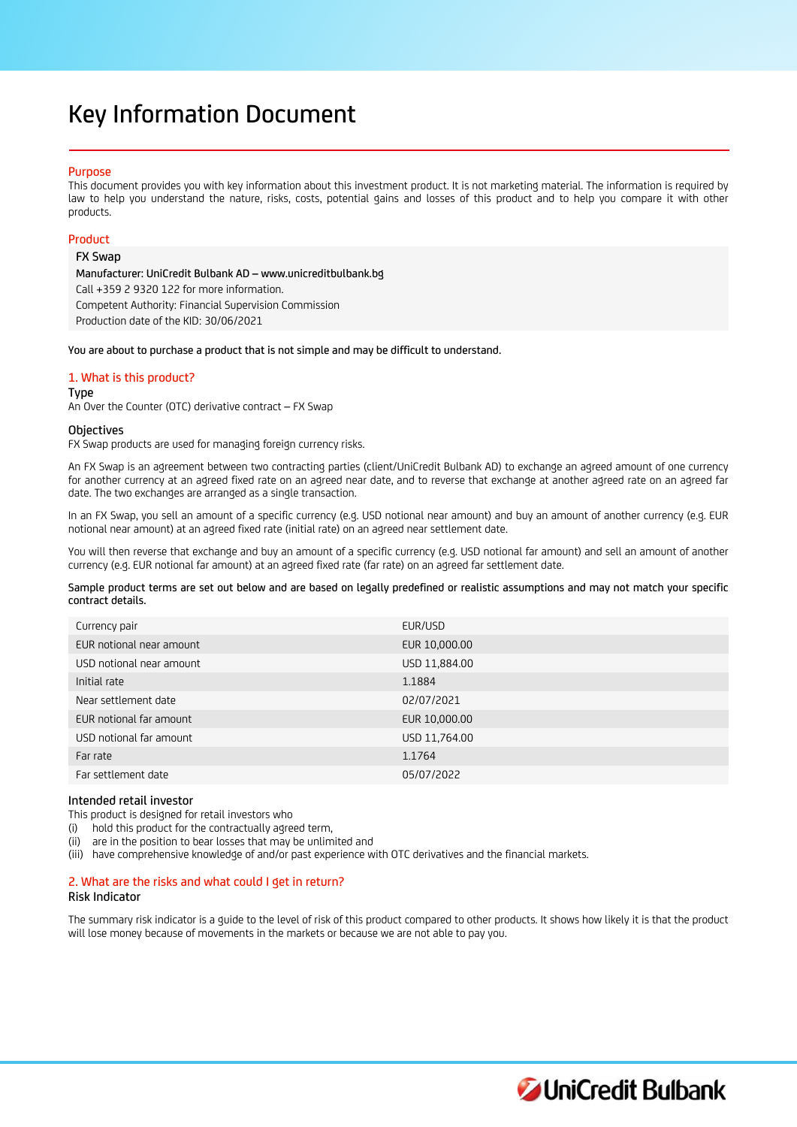# Key Information Document

### Purpose

This document provides you with key information about this investment product. It is not marketing material. The information is required by law to help you understand the nature, risks, costs, potential gains and losses of this product and to help you compare it with other products.

## Product

## FX Swap

Manufacturer: UniCredit Bulbank AD – www.unicreditbulbank.bg Call +359 2 9320 122 for more information. Competent Authority: Financial Supervision Commission Production date of the KID: 30/06/2021

You are about to purchase a product that is not simple and may be difficult to understand.

## 1. What is this product?

#### Type

An Over the Counter (OTC) derivative contract – FX Swap

#### **Objectives**

FX Swap products are used for managing foreign currency risks.

An FX Swap is an agreement between two contracting parties (client/UniCredit Bulbank AD) to exchange an agreed amount of one currency for another currency at an agreed fixed rate on an agreed near date, and to reverse that exchange at another agreed rate on an agreed far date. The two exchanges are arranged as a single transaction.

In an FX Swap, you sell an amount of a specific currency (e.g. USD notional near amount) and buy an amount of another currency (e.g. EUR notional near amount) at an agreed fixed rate (initial rate) on an agreed near settlement date.

You will then reverse that exchange and buy an amount of a specific currency (e.g. USD notional far amount) and sell an amount of another currency (e.g. EUR notional far amount) at an agreed fixed rate (far rate) on an agreed far settlement date.

Sample product terms are set out below and are based on legally predefined or realistic assumptions and may not match your specific contract details.

| Currency pair            | EUR/USD       |
|--------------------------|---------------|
| EUR notional near amount | EUR 10,000.00 |
| USD notional near amount | USD 11,884.00 |
| Initial rate             | 1.1884        |
| Near settlement date     | 02/07/2021    |
| EUR notional far amount  | EUR 10,000.00 |
| USD notional far amount  | USD 11,764.00 |
| Far rate                 | 1.1764        |
| Far settlement date      | 05/07/2022    |
|                          |               |

#### Intended retail investor

This product is designed for retail investors who

- (i) hold this product for the contractually agreed term,
- (ii) are in the position to bear losses that may be unlimited and
- (iii) have comprehensive knowledge of and/or past experience with OTC derivatives and the financial markets.

# 2. What are the risks and what could I get in return?

# Risk Indicator

The summary risk indicator is a guide to the level of risk of this product compared to other products. It shows how likely it is that the product will lose money because of movements in the markets or because we are not able to pay you.

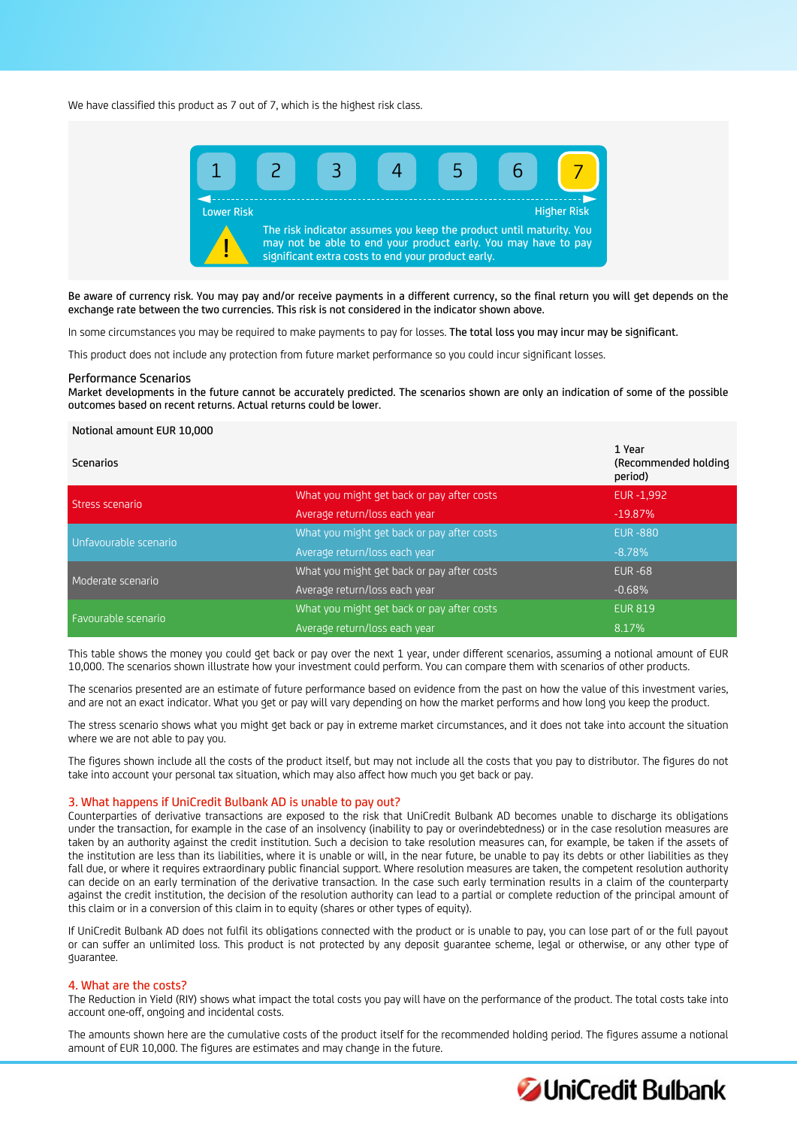We have classified this product as 7 out of 7, which is the highest risk class.



Be aware of currency risk. You may pay and/or receive payments in a different currency, so the final return you will get depends on the exchange rate between the two currencies. This risk is not considered in the indicator shown above.

In some circumstances you may be required to make payments to pay for losses. The total loss you may incur may be significant.

This product does not include any protection from future market performance so you could incur significant losses.

#### Performance Scenarios

Market developments in the future cannot be accurately predicted. The scenarios shown are only an indication of some of the possible outcomes based on recent returns. Actual returns could be lower.

## Notional amount EUR 10,000

| Scenarios             |                                            | 1 Year<br>(Recommended holding)<br>period) |
|-----------------------|--------------------------------------------|--------------------------------------------|
| Stress scenario       | What you might get back or pay after costs | EUR -1,992                                 |
|                       | Average return/loss each year              | $-19.87\%$                                 |
| Unfavourable scenario | What you might get back or pay after costs | <b>EUR-880</b>                             |
|                       | Average return/loss each year              | $-8.78%$                                   |
| Moderate scenario     | What you might get back or pay after costs | <b>EUR -68</b>                             |
|                       | Average return/loss each year              | $-0.68%$                                   |
| Favourable scenario   | What you might get back or pay after costs | <b>EUR 819</b>                             |
|                       | Average return/loss each year              | 8.17%                                      |

This table shows the money you could get back or pay over the next 1 year, under different scenarios, assuming a notional amount of EUR 10,000. The scenarios shown illustrate how your investment could perform. You can compare them with scenarios of other products.

The scenarios presented are an estimate of future performance based on evidence from the past on how the value of this investment varies, and are not an exact indicator. What you get or pay will vary depending on how the market performs and how long you keep the product.

The stress scenario shows what you might get back or pay in extreme market circumstances, and it does not take into account the situation where we are not able to pay you.

The figures shown include all the costs of the product itself, but may not include all the costs that you pay to distributor. The figures do not take into account your personal tax situation, which may also affect how much you get back or pay.

# 3. What happens if UniCredit Bulbank AD is unable to pay out?

Counterparties of derivative transactions are exposed to the risk that UniCredit Bulbank AD becomes unable to discharge its obligations under the transaction, for example in the case of an insolvency (inability to pay or overindebtedness) or in the case resolution measures are taken by an authority against the credit institution. Such a decision to take resolution measures can, for example, be taken if the assets of the institution are less than its liabilities, where it is unable or will, in the near future, be unable to pay its debts or other liabilities as they fall due, or where it requires extraordinary public financial support. Where resolution measures are taken, the competent resolution authority can decide on an early termination of the derivative transaction. In the case such early termination results in a claim of the counterparty against the credit institution, the decision of the resolution authority can lead to a partial or complete reduction of the principal amount of this claim or in a conversion of this claim in to equity (shares or other types of equity).

If UniCredit Bulbank AD does not fulfil its obligations connected with the product or is unable to pay, you can lose part of or the full payout or can suffer an unlimited loss. This product is not protected by any deposit guarantee scheme, legal or otherwise, or any other type of guarantee.

#### 4. What are the costs?

The Reduction in Yield (RIY) shows what impact the total costs you pay will have on the performance of the product. The total costs take into account one-off, ongoing and incidental costs.

The amounts shown here are the cumulative costs of the product itself for the recommended holding period. The figures assume a notional amount of EUR 10,000. The figures are estimates and may change in the future.